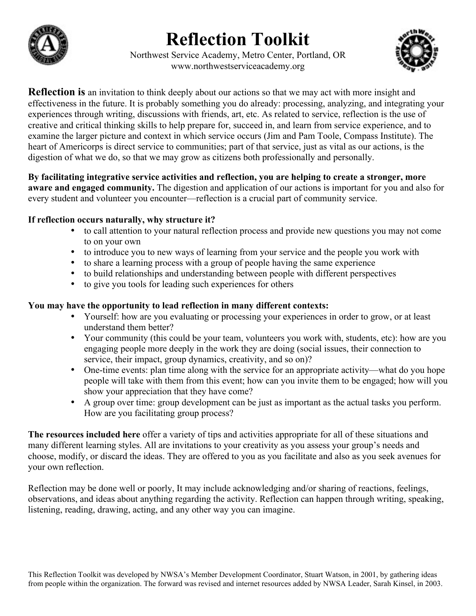# **Reflection Toolkit**



Northwest Service Academy, Metro Center, Portland, OR www.northwestserviceacademy.org



**Reflection is** an invitation to think deeply about our actions so that we may act with more insight and effectiveness in the future. It is probably something you do already: processing, analyzing, and integrating your experiences through writing, discussions with friends, art, etc. As related to service, reflection is the use of creative and critical thinking skills to help prepare for, succeed in, and learn from service experience, and to examine the larger picture and context in which service occurs (Jim and Pam Toole, Compass Institute). The heart of Americorps is direct service to communities; part of that service, just as vital as our actions, is the digestion of what we do, so that we may grow as citizens both professionally and personally.

**By facilitating integrative service activities and reflection, you are helping to create a stronger, more aware and engaged community.** The digestion and application of our actions is important for you and also for every student and volunteer you encounter—reflection is a crucial part of community service.

### **If reflection occurs naturally, why structure it?**

- to call attention to your natural reflection process and provide new questions you may not come to on your own
- to introduce you to new ways of learning from your service and the people you work with
- to share a learning process with a group of people having the same experience
- to build relationships and understanding between people with different perspectives
- • to give you tools for leading such experiences for others

### **You may have the opportunity to lead reflection in many different contexts:**

- Yourself: how are you evaluating or processing your experiences in order to grow, or at least understand them better?
- Your community (this could be your team, volunteers you work with, students, etc): how are you engaging people more deeply in the work they are doing (social issues, their connection to service, their impact, group dynamics, creativity, and so on)?
- One-time events: plan time along with the service for an appropriate activity—what do you hope people will take with them from this event; how can you invite them to be engaged; how will you show your appreciation that they have come?
- A group over time: group development can be just as important as the actual tasks you perform. How are you facilitating group process?

**The resources included here** offer a variety of tips and activities appropriate for all of these situations and many different learning styles. All are invitations to your creativity as you assess your group's needs and choose, modify, or discard the ideas. They are offered to you as you facilitate and also as you seek avenues for your own reflection.

Reflection may be done well or poorly, It may include acknowledging and/or sharing of reactions, feelings, observations, and ideas about anything regarding the activity. Reflection can happen through writing, speaking, listening, reading, drawing, acting, and any other way you can imagine.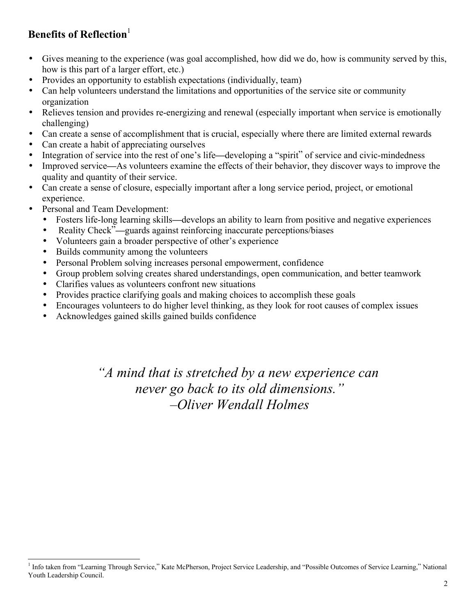### **Benefits of Reflection**

- • Gives meaning to the experience (was goal accomplished, how did we do, how is community served by this, how is this part of a larger effort, etc.)
- Provides an opportunity to establish expectations (individually, team)
- Can help volunteers understand the limitations and opportunities of the service site or community organization
- Relieves tension and provides re-energizing and renewal (especially important when service is emotionally challenging)
- Can create a sense of accomplishment that is crucial, especially where there are limited external rewards
- • Can create a habit of appreciating ourselves
- Integration of service into the rest of one's life—developing a "spirit" of service and civic-mindedness
- • Improved service**—**As volunteers examine the effects of their behavior, they discover ways to improve the quality and quantity of their service.
- Can create a sense of closure, especially important after a long service period, project, or emotional experience.
- Personal and Team Development:

l

- Fosters life-long learning skills—develops an ability to learn from positive and negative experiences
- Reality Check"**—**guards against reinforcing inaccurate perceptions/biases
- Volunteers gain a broader perspective of other's experience
- • Builds community among the volunteers
- Personal Problem solving increases personal empowerment, confidence
- • Group problem solving creates shared understandings, open communication, and better teamwork
- Clarifies values as volunteers confront new situations
- Provides practice clarifying goals and making choices to accomplish these goals
- Encourages volunteers to do higher level thinking, as they look for root causes of complex issues
- Acknowledges gained skills gained builds confidence

*"A mind that is stretched by a new experience can never go back to its old dimensions." –Oliver Wendall Holmes*

<sup>&</sup>lt;sup>1</sup> Info taken from "Learning Through Service," Kate McPherson, Project Service Leadership, and "Possible Outcomes of Service Learning," National Youth Leadership Council.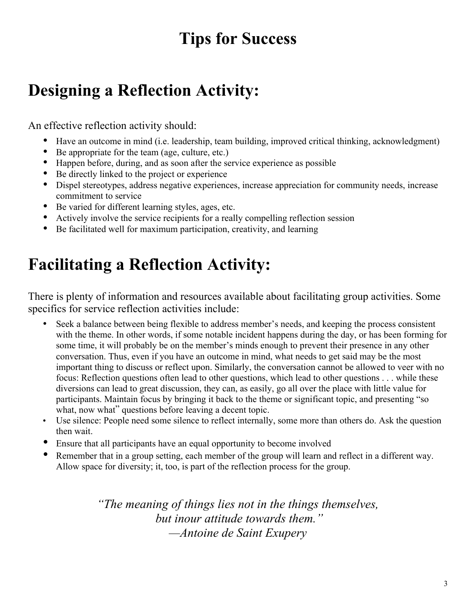# **Tips for Success**

# **Designing a Reflection Activity:**

An effective reflection activity should:

- Have an outcome in mind (i.e. leadership, team building, improved critical thinking, acknowledgment)
- • Be appropriate for the team (age, culture, etc.)
- Happen before, during, and as soon after the service experience as possible
- Be directly linked to the project or experience
- Dispel stereotypes, address negative experiences, increase appreciation for community needs, increase commitment to service
- Be varied for different learning styles, ages, etc.
- Actively involve the service recipients for a really compelling reflection session
- Be facilitated well for maximum participation, creativity, and learning

# **Facilitating a Reflection Activity:**

There is plenty of information and resources available about facilitating group activities. Some specifics for service reflection activities include:

- Seek a balance between being flexible to address member's needs, and keeping the process consistent with the theme. In other words, if some notable incident happens during the day, or has been forming for some time, it will probably be on the member's minds enough to prevent their presence in any other conversation. Thus, even if you have an outcome in mind, what needs to get said may be the most important thing to discuss or reflect upon. Similarly, the conversation cannot be allowed to veer with no focus: Reflection questions often lead to other questions, which lead to other questions . . . while these diversions can lead to great discussion, they can, as easily, go all over the place with little value for participants. Maintain focus by bringing it back to the theme or significant topic, and presenting "so what, now what" questions before leaving a decent topic.
- Use silence: People need some silence to reflect internally, some more than others do. Ask the question then wait.
- Ensure that all participants have an equal opportunity to become involved
- Remember that in a group setting, each member of the group will learn and reflect in a different way. Allow space for diversity; it, too, is part of the reflection process for the group.

*"The meaning of things lies not in the things themselves, but inour attitude towards them." —Antoine de Saint Exupery*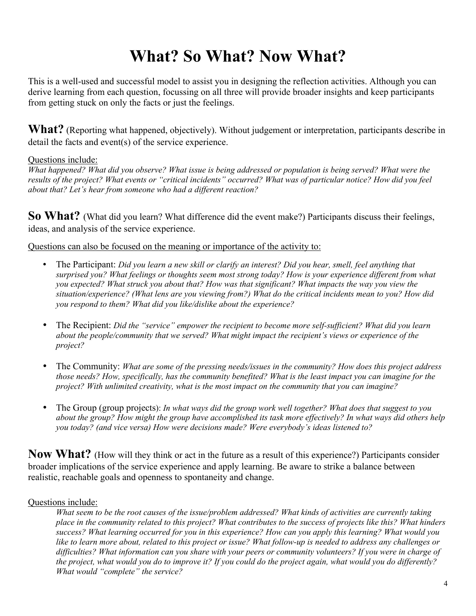# **What? So What? Now What?**

This is a well-used and successful model to assist you in designing the reflection activities. Although you can derive learning from each question, focussing on all three will provide broader insights and keep participants from getting stuck on only the facts or just the feelings.

**What?** (Reporting what happened, objectively). Without judgement or interpretation, participants describe in detail the facts and event(s) of the service experience.

#### Questions include:

*What happened? What did you observe? What issue is being addressed or population is being served? What were the results of the project? What events or "critical incidents" occurred? What was of particular notice? How did you feel about that? Let's hear from someone who had a different reaction?* 

**So What?** (What did you learn? What difference did the event make?) Participants discuss their feelings, ideas, and analysis of the service experience.

Questions can also be focused on the meaning or importance of the activity to:

- The Participant: *Did you learn a new skill or clarify an interest? Did you hear, smell, feel anything that surprised you? What feelings or thoughts seem most strong today? How is your experience different from what you expected? What struck you about that? How was that significant? What impacts the way you view the situation/experience? (What lens are you viewing from?) What do the critical incidents mean to you? How did you respond to them? What did you like/dislike about the experience?*
- • The Recipient: *Did the "service" empower the recipient to become more self-sufficient? What did you learn about the people/community that we served? What might impact the recipient's views or experience of the project?*
- The Community: *What are some of the pressing needs/issues in the community? How does this project address those needs? How, specifically, has the community benefited? What is the least impact you can imagine for the project? With unlimited creativity, what is the most impact on the community that you can imagine?*
- • The Group (group projects): *In what ways did the group work well together? What does that suggest to you about the group? How might the group have accomplished its task more effectively? In what ways did others help you today? (and vice versa) How were decisions made? Were everybody's ideas listened to?*

**Now What?** (How will they think or act in the future as a result of this experience?) Participants consider broader implications of the service experience and apply learning. Be aware to strike a balance between realistic, reachable goals and openness to spontaneity and change.

### Questions include:

*What seem to be the root causes of the issue/problem addressed? What kinds of activities are currently taking place in the community related to this project? What contributes to the success of projects like this? What hinders success? What learning occurred for you in this experience? How can you apply this learning? What would you like to learn more about, related to this project or issue? What follow-up is needed to address any challenges or difficulties? What information can you share with your peers or community volunteers? If you were in charge of the project, what would you do to improve it? If you could do the project again, what would you do differently? What would "complete" the service?*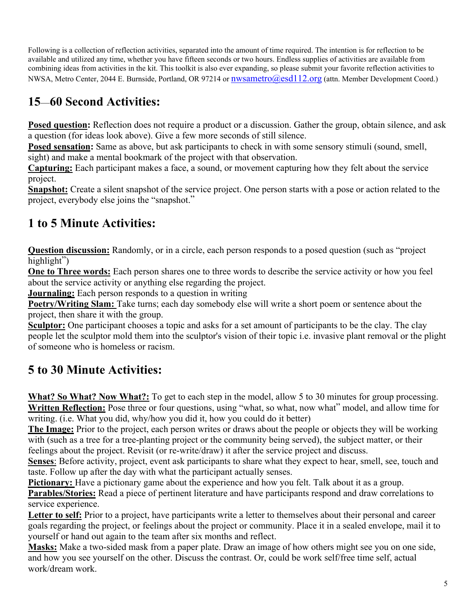Following is a collection of reflection activities, separated into the amount of time required. The intention is for reflection to be available and utilized any time, whether you have fifteen seconds or two hours. Endless supplies of activities are available from combining ideas from activities in the kit. This toolkit is also ever expanding, so please submit your favorite reflection activities to NWSA, Metro Center, 2044 E. Burnside, Portland, OR 97214 or nwsametro@esd112.org (attn. Member Development Coord.)

## **15**—**60 Second Activities:**

**Posed question:** Reflection does not require a product or a discussion. Gather the group, obtain silence, and ask a question (for ideas look above). Give a few more seconds of still silence.

**Posed sensation:** Same as above, but ask participants to check in with some sensory stimuli (sound, smell, sight) and make a mental bookmark of the project with that observation.

**Capturing:** Each participant makes a face, a sound, or movement capturing how they felt about the service project.

**Snapshot:** Create a silent snapshot of the service project. One person starts with a pose or action related to the project, everybody else joins the "snapshot."

## **1 to 5 Minute Activities:**

**Question discussion:** Randomly, or in a circle, each person responds to a posed question (such as "project highlight")

**One to Three words:** Each person shares one to three words to describe the service activity or how you feel about the service activity or anything else regarding the project.

**Journaling:** Each person responds to a question in writing

**Poetry/Writing Slam:** Take turns; each day somebody else will write a short poem or sentence about the project, then share it with the group.

**Sculptor:** One participant chooses a topic and asks for a set amount of participants to be the clay. The clay people let the sculptor mold them into the sculptor's vision of their topic i.e. invasive plant removal or the plight of someone who is homeless or racism.

## **5 to 30 Minute Activities:**

**What? So What? Now What?:** To get to each step in the model, allow 5 to 30 minutes for group processing. **Written Reflection:** Pose three or four questions, using "what, so what, now what" model, and allow time for writing. (i.e. What you did, why/how you did it, how you could do it better)

**The Image:** Prior to the project, each person writes or draws about the people or objects they will be working with (such as a tree for a tree-planting project or the community being served), the subject matter, or their feelings about the project. Revisit (or re-write/draw) it after the service project and discuss.

**Senses**: Before activity, project, event ask participants to share what they expect to hear, smell, see, touch and taste. Follow up after the day with what the participant actually senses.

**Pictionary:** Have a pictionary game about the experience and how you felt. Talk about it as a group.

**Parables/Stories:** Read a piece of pertinent literature and have participants respond and draw correlations to service experience.

**Letter to self:** Prior to a project, have participants write a letter to themselves about their personal and career goals regarding the project, or feelings about the project or community. Place it in a sealed envelope, mail it to yourself or hand out again to the team after six months and reflect.

**Masks:** Make a two-sided mask from a paper plate. Draw an image of how others might see you on one side, and how you see yourself on the other. Discuss the contrast. Or, could be work self/free time self, actual work/dream work.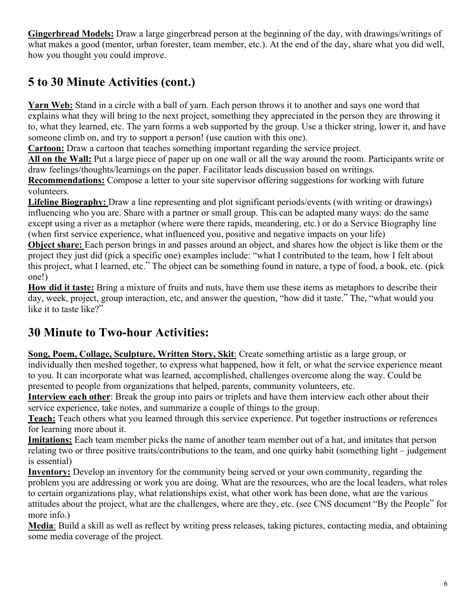**Gingerbread Models:** Draw a large gingerbread person at the beginning of the day, with drawings/writings of what makes a good (mentor, urban forester, team member, etc.). At the end of the day, share what you did well, how you thought you could improve.

## **5 to 30 Minute Activities (cont.)**

**Yarn Web:** Stand in a circle with a ball of yarn. Each person throws it to another and says one word that explains what they will bring to the next project, something they appreciated in the person they are throwing it to, what they learned, etc. The yarn forms a web supported by the group. Use a thicker string, lower it, and have someone climb on, and try to support a person! (use caution with this one).

**Cartoon:** Draw a cartoon that teaches something important regarding the service project.

**All on the Wall:** Put a large piece of paper up on one wall or all the way around the room. Participants write or draw feelings/thoughts/learnings on the paper. Facilitator leads discussion based on writings.

**Recommendations:** Compose a letter to your site supervisor offering suggestions for working with future volunteers.

**Lifeline Biography:** Draw a line representing and plot significant periods/events (with writing or drawings) influencing who you are. Share with a partner or small group. This can be adapted many ways: do the same except using a river as a metaphor (where were there rapids, meandering, etc.) or do a Service Biography line (when first service experience, what influenced you, positive and negative impacts on your life)

**Object share:** Each person brings in and passes around an object, and shares how the object is like them or the project they just did (pick a specific one) examples include: "what I contributed to the team, how I felt about this project, what I learned, etc." The object can be something found in nature, a type of food, a book, etc. (pick one!)

**How did it taste:** Bring a mixture of fruits and nuts, have them use these items as metaphors to describe their day, week, project, group interaction, etc, and answer the question, "how did it taste." The, "what would you like it to taste like?"

## **30 Minute to Two-hour Activities:**

**Song, Poem, Collage, Sculpture, Written Story, Skit**: Create something artistic as a large group, or individually then meshed together, to express what happened, how it felt, or what the service experience meant to you. It can incorporate what was learned, accomplished, challenges overcome along the way. Could be presented to people from organizations that helped, parents, community volunteers, etc.

**Interview each other**: Break the group into pairs or triplets and have them interview each other about their service experience, take notes, and summarize a couple of things to the group.

**Teach:** Teach others what you learned through this service experience. Put together instructions or references for learning more about it.

**Imitations:** Each team member picks the name of another team member out of a hat, and imitates that person relating two or three positive traits/contributions to the team, and one quirky habit (something light – judgement is essential)

**Inventory:** Develop an inventory for the community being served or your own community, regarding the problem you are addressing or work you are doing. What are the resources, who are the local leaders, what roles to certain organizations play, what relationships exist, what other work has been done, what are the various attitudes about the project, what are the challenges, where are they, etc. (see CNS document "By the People" for more info.)

**Media**: Build a skill as well as reflect by writing press releases, taking pictures, contacting media, and obtaining some media coverage of the project.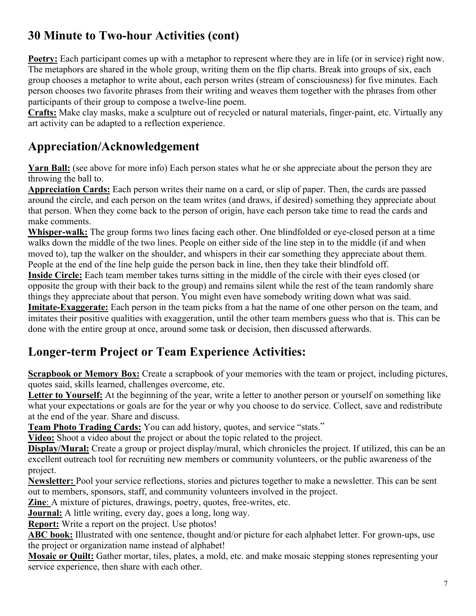## **30 Minute to Two-hour Activities (cont)**

**Poetry:** Each participant comes up with a metaphor to represent where they are in life (or in service) right now. The metaphors are shared in the whole group, writing them on the flip charts. Break into groups of six, each group chooses a metaphor to write about, each person writes (stream of consciousness) for five minutes. Each person chooses two favorite phrases from their writing and weaves them together with the phrases from other participants of their group to compose a twelve-line poem.

**Crafts:** Make clay masks, make a sculpture out of recycled or natural materials, finger-paint, etc. Virtually any art activity can be adapted to a reflection experience.

## **Appreciation/Acknowledgement**

**Yarn Ball:** (see above for more info) Each person states what he or she appreciate about the person they are throwing the ball to.

**Appreciation Cards:** Each person writes their name on a card, or slip of paper. Then, the cards are passed around the circle, and each person on the team writes (and draws, if desired) something they appreciate about that person. When they come back to the person of origin, have each person take time to read the cards and make comments.

**Whisper-walk:** The group forms two lines facing each other. One blindfolded or eye-closed person at a time walks down the middle of the two lines. People on either side of the line step in to the middle (if and when moved to), tap the walker on the shoulder, and whispers in their ear something they appreciate about them. People at the end of the line help guide the person back in line, then they take their blindfold off.

**Inside Circle:** Each team member takes turns sitting in the middle of the circle with their eyes closed (or opposite the group with their back to the group) and remains silent while the rest of the team randomly share things they appreciate about that person. You might even have somebody writing down what was said.

**Imitate-Exaggerate:** Each person in the team picks from a hat the name of one other person on the team, and imitates their positive qualities with exaggeration, until the other team members guess who that is. This can be done with the entire group at once, around some task or decision, then discussed afterwards.

## **Longer-term Project or Team Experience Activities:**

**Scrapbook or Memory Box:** Create a scrapbook of your memories with the team or project, including pictures, quotes said, skills learned, challenges overcome, etc.

**Letter to Yourself:** At the beginning of the year, write a letter to another person or yourself on something like what your expectations or goals are for the year or why you choose to do service. Collect, save and redistribute at the end of the year. Share and discuss.

**Team Photo Trading Cards:** You can add history, quotes, and service "stats."

**Video:** Shoot a video about the project or about the topic related to the project.

**Display/Mural:** Create a group or project display/mural, which chronicles the project. If utilized, this can be an excellent outreach tool for recruiting new members or community volunteers, or the public awareness of the project.

**Newsletter:** Pool your service reflections, stories and pictures together to make a newsletter. This can be sent out to members, sponsors, staff, and community volunteers involved in the project.

**Zine**: A mixture of pictures, drawings, poetry, quotes, free-writes, etc.

**Journal:** A little writing, every day, goes a long, long way.

**Report:** Write a report on the project. Use photos!

ABC book: Illustrated with one sentence, thought and/or picture for each alphabet letter. For grown-ups, use the project or organization name instead of alphabet!

**Mosaic or Quilt:** Gather mortar, tiles, plates, a mold, etc. and make mosaic stepping stones representing your service experience, then share with each other.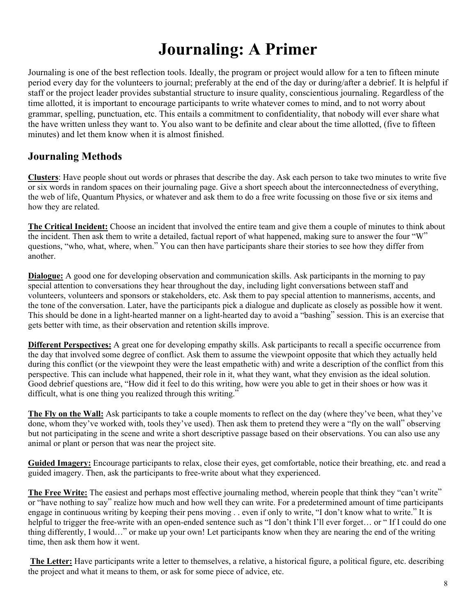## **Journaling: A Primer**

Journaling is one of the best reflection tools. Ideally, the program or project would allow for a ten to fifteen minute period every day for the volunteers to journal; preferably at the end of the day or during/after a debrief. It is helpful if staff or the project leader provides substantial structure to insure quality, conscientious journaling. Regardless of the time allotted, it is important to encourage participants to write whatever comes to mind, and to not worry about grammar, spelling, punctuation, etc. This entails a commitment to confidentiality, that nobody will ever share what the have written unless they want to. You also want to be definite and clear about the time allotted, (five to fifteen minutes) and let them know when it is almost finished.

### **Journaling Methods**

**Clusters**: Have people shout out words or phrases that describe the day. Ask each person to take two minutes to write five or six words in random spaces on their journaling page. Give a short speech about the interconnectedness of everything, the web of life, Quantum Physics, or whatever and ask them to do a free write focussing on those five or six items and how they are related.

**The Critical Incident:** Choose an incident that involved the entire team and give them a couple of minutes to think about the incident. Then ask them to write a detailed, factual report of what happened, making sure to answer the four "W" questions, "who, what, where, when." You can then have participants share their stories to see how they differ from another.

**Dialogue:** A good one for developing observation and communication skills. Ask participants in the morning to pay special attention to conversations they hear throughout the day, including light conversations between staff and volunteers, volunteers and sponsors or stakeholders, etc. Ask them to pay special attention to mannerisms, accents, and the tone of the conversation. Later, have the participants pick a dialogue and duplicate as closely as possible how it went. This should be done in a light-hearted manner on a light-hearted day to avoid a "bashing" session. This is an exercise that gets better with time, as their observation and retention skills improve.

**Different Perspectives:** A great one for developing empathy skills. Ask participants to recall a specific occurrence from the day that involved some degree of conflict. Ask them to assume the viewpoint opposite that which they actually held during this conflict (or the viewpoint they were the least empathetic with) and write a description of the conflict from this perspective. This can include what happened, their role in it, what they want, what they envision as the ideal solution. Good debrief questions are, "How did it feel to do this writing, how were you able to get in their shoes or how was it difficult, what is one thing you realized through this writing."

**The Fly on the Wall:** Ask participants to take a couple moments to reflect on the day (where they've been, what they've done, whom they've worked with, tools they've used). Then ask them to pretend they were a "fly on the wall" observing but not participating in the scene and write a short descriptive passage based on their observations. You can also use any animal or plant or person that was near the project site.

**Guided Imagery:** Encourage participants to relax, close their eyes, get comfortable, notice their breathing, etc. and read a guided imagery. Then, ask the participants to free-write about what they experienced.

**The Free Write:** The easiest and perhaps most effective journaling method, wherein people that think they "can't write" or "have nothing to say" realize how much and how well they can write. For a predetermined amount of time participants engage in continuous writing by keeping their pens moving . . even if only to write, "I don't know what to write." It is helpful to trigger the free-write with an open-ended sentence such as "I don't think I'll ever forget... or "If I could do one thing differently, I would…" or make up your own! Let participants know when they are nearing the end of the writing time, then ask them how it went.

**The Letter:** Have participants write a letter to themselves, a relative, a historical figure, a political figure, etc. describing the project and what it means to them, or ask for some piece of advice, etc.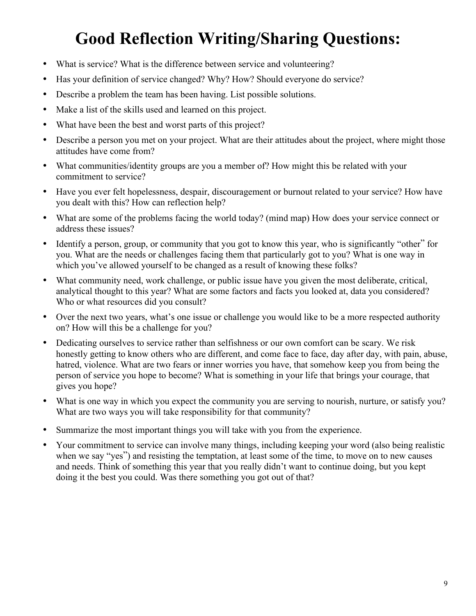# **Good Reflection Writing/Sharing Questions:**

- What is service? What is the difference between service and volunteering?
- Has your definition of service changed? Why? How? Should everyone do service?
- Describe a problem the team has been having. List possible solutions.
- Make a list of the skills used and learned on this project.
- What have been the best and worst parts of this project?
- Describe a person you met on your project. What are their attitudes about the project, where might those attitudes have come from?
- What communities/identity groups are you a member of? How might this be related with your commitment to service?
- Have you ever felt hopelessness, despair, discouragement or burnout related to your service? How have you dealt with this? How can reflection help?
- What are some of the problems facing the world today? (mind map) How does your service connect or address these issues?
- Identify a person, group, or community that you got to know this year, who is significantly "other" for you. What are the needs or challenges facing them that particularly got to you? What is one way in which you've allowed yourself to be changed as a result of knowing these folks?
- What community need, work challenge, or public issue have you given the most deliberate, critical, analytical thought to this year? What are some factors and facts you looked at, data you considered? Who or what resources did you consult?
- Over the next two years, what's one issue or challenge you would like to be a more respected authority on? How will this be a challenge for you?
- Dedicating ourselves to service rather than selfishness or our own comfort can be scary. We risk honestly getting to know others who are different, and come face to face, day after day, with pain, abuse, hatred, violence. What are two fears or inner worries you have, that somehow keep you from being the person of service you hope to become? What is something in your life that brings your courage, that gives you hope?
- What is one way in which you expect the community you are serving to nourish, nurture, or satisfy you? What are two ways you will take responsibility for that community?
- Summarize the most important things you will take with you from the experience.
- Your commitment to service can involve many things, including keeping your word (also being realistic when we say "yes") and resisting the temptation, at least some of the time, to move on to new causes and needs. Think of something this year that you really didn't want to continue doing, but you kept doing it the best you could. Was there something you got out of that?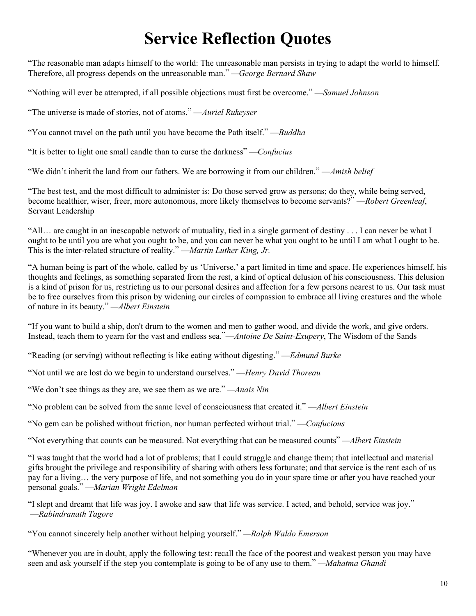## **Service Reflection Quotes**

"The reasonable man adapts himself to the world: The unreasonable man persists in trying to adapt the world to himself. Therefore, all progress depends on the unreasonable man." *—George Bernard Shaw* 

"Nothing will ever be attempted, if all possible objections must first be overcome." —*Samuel Johnson* 

"The universe is made of stories, not of atoms." —*Auriel Rukeyser* 

"You cannot travel on the path until you have become the Path itself." —*Buddha* 

"It is better to light one small candle than to curse the darkness" —*Confucius* 

"We didn't inherit the land from our fathers. We are borrowing it from our children." —*Amish belief* 

"The best test, and the most difficult to administer is: Do those served grow as persons; do they, while being served, become healthier, wiser, freer, more autonomous, more likely themselves to become servants?" —*Robert Greenleaf*, Servant Leadership

"All… are caught in an inescapable network of mutuality, tied in a single garment of destiny . . . I can never be what I ought to be until you are what you ought to be, and you can never be what you ought to be until I am what I ought to be. This is the inter-related structure of reality." —*Martin Luther King, Jr.* 

"A human being is part of the whole, called by us 'Universe,' a part limited in time and space. He experiences himself, his thoughts and feelings, as something separated from the rest, a kind of optical delusion of his consciousness. This delusion is a kind of prison for us, restricting us to our personal desires and affection for a few persons nearest to us. Our task must be to free ourselves from this prison by widening our circles of compassion to embrace all living creatures and the whole of nature in its beauty." *—Albert Einstein* 

"If you want to build a ship, don't drum to the women and men to gather wood, and divide the work, and give orders. Instead, teach them to yearn for the vast and endless sea."—*Antoine De Saint-Exupery*, The Wisdom of the Sands

"Reading (or serving) without reflecting is like eating without digesting." —*Edmund Burke* 

"Not until we are lost do we begin to understand ourselves." —*Henry David Thoreau* 

"We don't see things as they are, we see them as we are." *—Anais Nin* 

"No problem can be solved from the same level of consciousness that created it." —*Albert Einstein* 

"No gem can be polished without friction, nor human perfected without trial." —*Confucious* 

"Not everything that counts can be measured. Not everything that can be measured counts" *—Albert Einstein* 

"I was taught that the world had a lot of problems; that I could struggle and change them; that intellectual and material gifts brought the privilege and responsibility of sharing with others less fortunate; and that service is the rent each of us pay for a living… the very purpose of life, and not something you do in your spare time or after you have reached your personal goals." —*Marian Wright Edelman* 

"I slept and dreamt that life was joy. I awoke and saw that life was service. I acted, and behold, service was joy." —*Rabindranath Tagore* 

"You cannot sincerely help another without helping yourself." *—Ralph Waldo Emerson* 

"Whenever you are in doubt, apply the following test: recall the face of the poorest and weakest person you may have seen and ask yourself if the step you contemplate is going to be of any use to them." *—Mahatma Ghandi*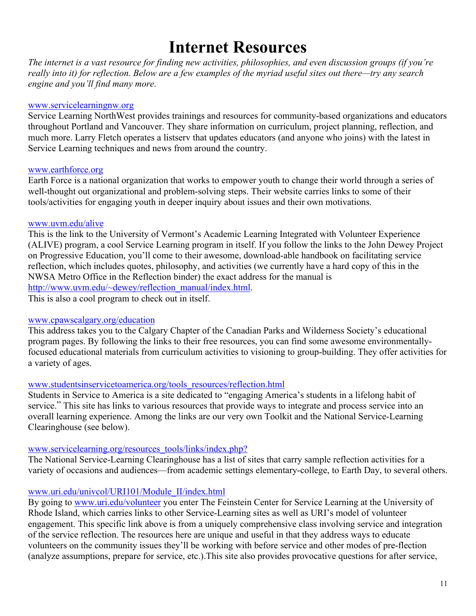## **Internet Resources**

*The internet is a vast resource for finding new activities, philosophies, and even discussion groups (if you're really into it) for reflection. Below are a few examples of the myriad useful sites out there—try any search engine and you'll find many more.* 

#### www.servicelearningnw.org

Service Learning NorthWest provides trainings and resources for community-based organizations and educators throughout Portland and Vancouver. They share information on curriculum, project planning, reflection, and much more. Larry Fletch operates a listserv that updates educators (and anyone who joins) with the latest in Service Learning techniques and news from around the country.

#### www.earthforce.org

Earth Force is a national organization that works to empower youth to change their world through a series of well-thought out organizational and problem-solving steps. Their website carries links to some of their tools/activities for engaging youth in deeper inquiry about issues and their own motivations.

#### www.uvm.edu/alive

This is the link to the University of Vermont's Academic Learning Integrated with Volunteer Experience (ALIVE) program, a cool Service Learning program in itself. If you follow the links to the John Dewey Project on Progressive Education, you'll come to their awesome, download-able handbook on facilitating service reflection, which includes quotes, philosophy, and activities (we currently have a hard copy of this in the NWSA Metro Office in the Reflection binder) the exact address for the manual is http://www.uvm.edu/~dewey/reflection\_manual/index.html.

This is also a cool program to check out in itself.

#### www.cpawscalgary.org/education

This address takes you to the Calgary Chapter of the Canadian Parks and Wilderness Society's educational program pages. By following the links to their free resources, you can find some awesome environmentallyfocused educational materials from curriculum activities to visioning to group-building. They offer activities for a variety of ages.

#### www.studentsinservicetoamerica.org/tools\_resources/reflection.html

Students in Service to America is a site dedicated to "engaging America's students in a lifelong habit of service." This site has links to various resources that provide ways to integrate and process service into an overall learning experience. Among the links are our very own Toolkit and the National Service-Learning Clearinghouse (see below).

#### www.servicelearning.org/resources\_tools/links/index.php?

The National Service-Learning Clearinghouse has a list of sites that carry sample reflection activities for a variety of occasions and audiences—from academic settings elementary-college, to Earth Day, to several others.

#### www.uri.edu/univcol/URI101/Module\_II/index.html

By going to www.uri.edu/volunteer you enter The Feinstein Center for Service Learning at the University of Rhode Island, which carries links to other Service-Learning sites as well as URI's model of volunteer engagement. This specific link above is from a uniquely comprehensive class involving service and integration of the service reflection. The resources here are unique and useful in that they address ways to educate volunteers on the community issues they'll be working with before service and other modes of pre-flection (analyze assumptions, prepare for service, etc.).This site also provides provocative questions for after service,